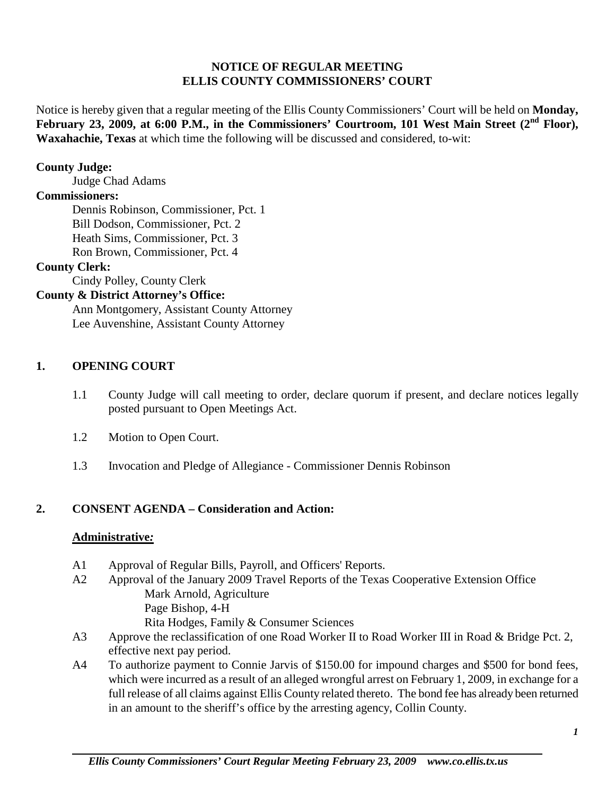### **NOTICE OF REGULAR MEETING ELLIS COUNTY COMMISSIONERS' COURT**

Notice is hereby given that a regular meeting of the Ellis County Commissioners' Court will be held on **Monday,**  February 23, 2009, at 6:00 P.M., in the Commissioners' Courtroom, 101 West Main Street (2<sup>nd</sup> Floor), **Waxahachie, Texas** at which time the following will be discussed and considered, to-wit:

#### **County Judge:**

Judge Chad Adams

#### **Commissioners:**

Dennis Robinson, Commissioner, Pct. 1 Bill Dodson, Commissioner, Pct. 2 Heath Sims, Commissioner, Pct. 3 Ron Brown, Commissioner, Pct. 4

### **County Clerk:**

Cindy Polley, County Clerk

### **County & District Attorney's Office:**

Ann Montgomery, Assistant County Attorney Lee Auvenshine, Assistant County Attorney

#### **1. OPENING COURT**

- 1.1 County Judge will call meeting to order, declare quorum if present, and declare notices legally posted pursuant to Open Meetings Act.
- 1.2 Motion to Open Court.
- 1.3 Invocation and Pledge of Allegiance Commissioner Dennis Robinson

#### **2. CONSENT AGENDA – Consideration and Action:**

#### **Administrative***:*

- A1 Approval of Regular Bills, Payroll, and Officers' Reports.
- A2 Approval of the January 2009 Travel Reports of the Texas Cooperative Extension Office Mark Arnold, Agriculture Page Bishop, 4-H Rita Hodges, Family & Consumer Sciences
- A3 Approve the reclassification of one Road Worker II to Road Worker III in Road & Bridge Pct. 2, effective next pay period.
- A4 To authorize payment to Connie Jarvis of \$150.00 for impound charges and \$500 for bond fees, which were incurred as a result of an alleged wrongful arrest on February 1, 2009, in exchange for a full release of all claims against Ellis County related thereto. The bond fee has already been returned in an amount to the sheriff's office by the arresting agency, Collin County.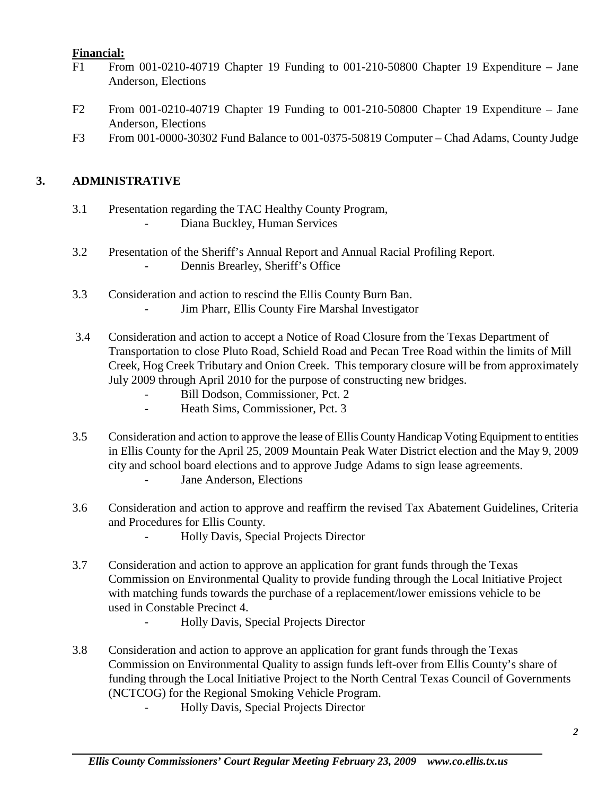# **Financial:**

- F1 From 001-0210-40719 Chapter 19 Funding to 001-210-50800 Chapter 19 Expenditure Jane Anderson, Elections
- F2 From 001-0210-40719 Chapter 19 Funding to 001-210-50800 Chapter 19 Expenditure Jane Anderson, Elections
- F3 From 001-0000-30302 Fund Balance to 001-0375-50819 Computer Chad Adams, County Judge

# **3. ADMINISTRATIVE**

- 3.1 Presentation regarding the TAC Healthy County Program, Diana Buckley, Human Services
- 3.2 Presentation of the Sheriff's Annual Report and Annual Racial Profiling Report. Dennis Brearley, Sheriff's Office
- 3.3 Consideration and action to rescind the Ellis County Burn Ban.
	- Jim Pharr, Ellis County Fire Marshal Investigator
- 3.4 Consideration and action to accept a Notice of Road Closure from the Texas Department of Transportation to close Pluto Road, Schield Road and Pecan Tree Road within the limits of Mill Creek, Hog Creek Tributary and Onion Creek. This temporary closure will be from approximately July 2009 through April 2010 for the purpose of constructing new bridges.
	- Bill Dodson, Commissioner, Pct. 2
	- Heath Sims, Commissioner, Pct. 3
- 3.5 Consideration and action to approve the lease of Ellis County Handicap Voting Equipment to entities in Ellis County for the April 25, 2009 Mountain Peak Water District election and the May 9, 2009 city and school board elections and to approve Judge Adams to sign lease agreements.
	- Jane Anderson, Elections
- 3.6 Consideration and action to approve and reaffirm the revised Tax Abatement Guidelines, Criteria and Procedures for Ellis County.
	- Holly Davis, Special Projects Director
- 3.7 Consideration and action to approve an application for grant funds through the Texas Commission on Environmental Quality to provide funding through the Local Initiative Project with matching funds towards the purchase of a replacement/lower emissions vehicle to be used in Constable Precinct 4.
	- Holly Davis, Special Projects Director
- 3.8 Consideration and action to approve an application for grant funds through the Texas Commission on Environmental Quality to assign funds left-over from Ellis County's share of funding through the Local Initiative Project to the North Central Texas Council of Governments (NCTCOG) for the Regional Smoking Vehicle Program.
	- Holly Davis, Special Projects Director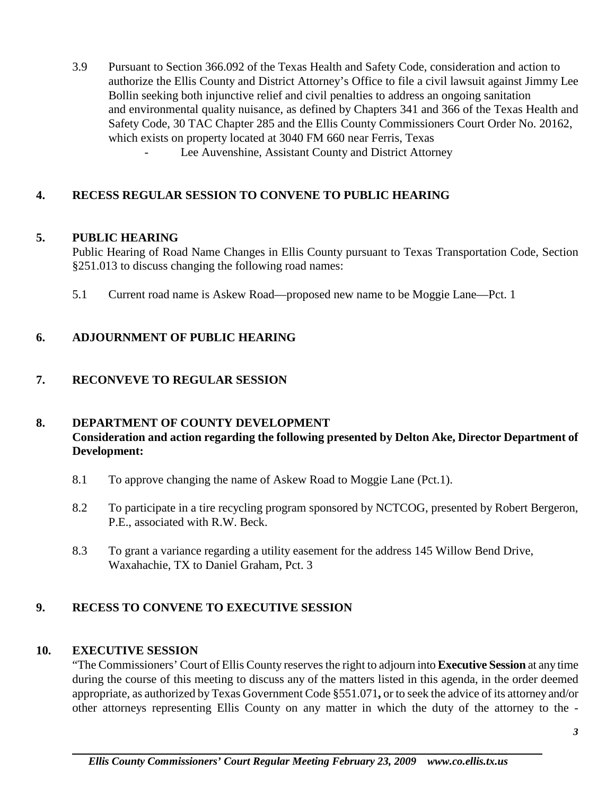- 3.9 Pursuant to Section 366.092 of the Texas Health and Safety Code, consideration and action to authorize the Ellis County and District Attorney's Office to file a civil lawsuit against Jimmy Lee Bollin seeking both injunctive relief and civil penalties to address an ongoing sanitation and environmental quality nuisance, as defined by Chapters 341 and 366 of the Texas Health and Safety Code, 30 TAC Chapter 285 and the Ellis County Commissioners Court Order No. 20162, which exists on property located at 3040 FM 660 near Ferris, Texas
	- Lee Auvenshine, Assistant County and District Attorney

# **4. RECESS REGULAR SESSION TO CONVENE TO PUBLIC HEARING**

#### **5. PUBLIC HEARING**

Public Hearing of Road Name Changes in Ellis County pursuant to Texas Transportation Code, Section §251.013 to discuss changing the following road names:

5.1 Current road name is Askew Road—proposed new name to be Moggie Lane—Pct. 1

# **6. ADJOURNMENT OF PUBLIC HEARING**

# **7. RECONVEVE TO REGULAR SESSION**

# **8. DEPARTMENT OF COUNTY DEVELOPMENT**

# **Consideration and action regarding the following presented by Delton Ake, Director Department of Development:**

- 8.1 To approve changing the name of Askew Road to Moggie Lane (Pct.1).
- 8.2 To participate in a tire recycling program sponsored by NCTCOG, presented by Robert Bergeron, P.E., associated with R.W. Beck.
- 8.3 To grant a variance regarding a utility easement for the address 145 Willow Bend Drive, Waxahachie, TX to Daniel Graham, Pct. 3

# **9. RECESS TO CONVENE TO EXECUTIVE SESSION**

#### **10. EXECUTIVE SESSION**

"The Commissioners' Court of Ellis County reserves the right to adjourn into **Executive Session** at any time during the course of this meeting to discuss any of the matters listed in this agenda, in the order deemed appropriate, as authorized by Texas Government Code §551.071**,** or to seek the advice of its attorney and/or other attorneys representing Ellis County on any matter in which the duty of the attorney to the -